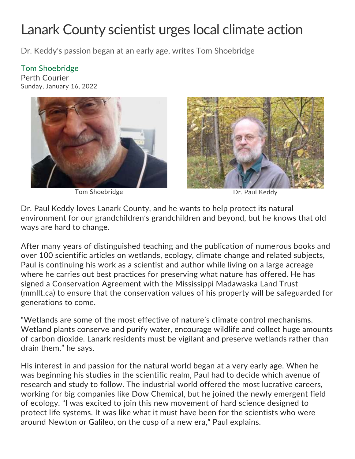## Lanark County scientist urges local climate action

Dr. Keddy's passion began at an early age, writes Tom Shoebridge

## Tom Shoebridge

Perth Courier Sunday, January 16, 2022



Tom Shoebridge Dr. Paul Keddy



Dr. Paul Keddy loves Lanark County, and he wants to help protect its natural environment for our grandchildren's grandchildren and beyond, but he knows that old ways are hard to change.

After many years of distinguished teaching and the publication of numerous books and over 100 scientific articles on wetlands, ecology, climate change and related subjects, Paul is continuing his work as a scientist and author while living on a large acreage where he carries out best practices for preserving what nature has offered. He has signed a Conservation Agreement with the Mississippi Madawaska Land Trust (mmllt.ca) to ensure that the conservation values of his property will be safeguarded for generations to come.

"Wetlands are some of the most effective of nature's climate control mechanisms. Wetland plants conserve and purify water, encourage wildlife and collect huge amounts of carbon dioxide. Lanark residents must be vigilant and preserve wetlands rather than drain them," he says.

His interest in and passion for the natural world began at a very early age. When he was beginning his studies in the scientific realm, Paul had to decide which avenue of research and study to follow. The industrial world offered the most lucrative careers, working for big companies like Dow Chemical, but he joined the newly emergent field of ecology. "I was excited to join this new movement of hard science designed to protect life systems. It was like what it must have been for the scientists who were around Newton or Galileo, on the cusp of a new era," Paul explains.